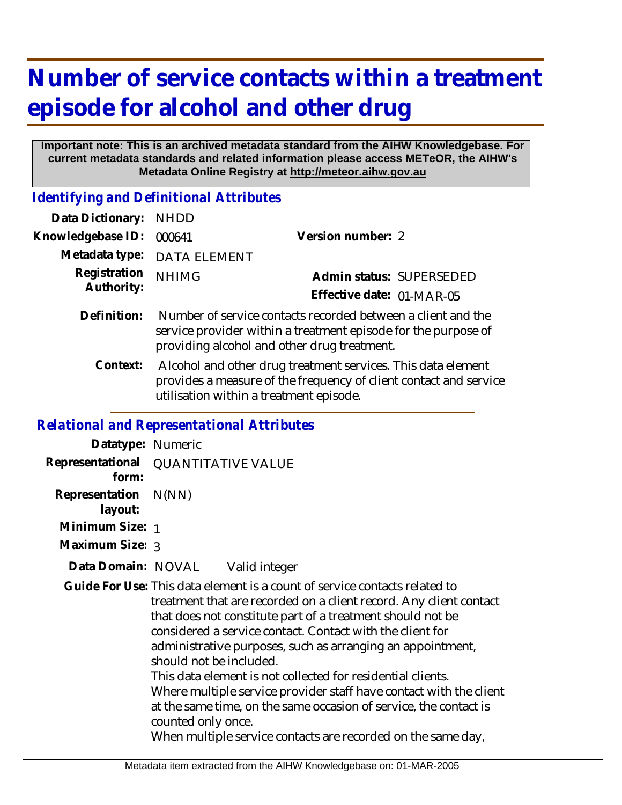## **Number of service contacts within a treatment episode for alcohol and other drug**

## **Important note: This is an archived metadata standard from the AIHW Knowledgebase. For current metadata standards and related information please access METeOR, the AIHW's Metadata Online Registry at http://meteor.aihw.gov.au**

*Identifying and Definitional Attributes*

| Data Dictionary: NHDD      |                                                                                                                                                                               |                                                       |
|----------------------------|-------------------------------------------------------------------------------------------------------------------------------------------------------------------------------|-------------------------------------------------------|
| Knowledgebase ID:          | 000641                                                                                                                                                                        | Version number: 2                                     |
|                            | Metadata type: DATA ELEMENT                                                                                                                                                   |                                                       |
| Registration<br>Authority: | <b>NHIMG</b>                                                                                                                                                                  | Admin status: SUPERSEDED<br>Effective date: 01-MAR-05 |
| Definition:                | Number of service contacts recorded between a client and the<br>service provider within a treatment episode for the purpose of<br>providing alcohol and other drug treatment. |                                                       |

 Alcohol and other drug treatment services. This data element provides a measure of the frequency of client contact and service utilisation within a treatment episode. **Context:**

## *Relational and Representational Attributes*

| Datatype: Numeric               |                                                                                                                                                                                                                                                                                                                                                                                                                                                                                                                                                                                                                                                                      |
|---------------------------------|----------------------------------------------------------------------------------------------------------------------------------------------------------------------------------------------------------------------------------------------------------------------------------------------------------------------------------------------------------------------------------------------------------------------------------------------------------------------------------------------------------------------------------------------------------------------------------------------------------------------------------------------------------------------|
| form:                           | Representational QUANTITATIVE VALUE                                                                                                                                                                                                                                                                                                                                                                                                                                                                                                                                                                                                                                  |
| Representation N(NN)<br>layout: |                                                                                                                                                                                                                                                                                                                                                                                                                                                                                                                                                                                                                                                                      |
| Minimum Size: 1                 |                                                                                                                                                                                                                                                                                                                                                                                                                                                                                                                                                                                                                                                                      |
| Maximum Size: 3                 |                                                                                                                                                                                                                                                                                                                                                                                                                                                                                                                                                                                                                                                                      |
| Data Domain: NOVAL              | Valid integer                                                                                                                                                                                                                                                                                                                                                                                                                                                                                                                                                                                                                                                        |
|                                 | Guide For Use: This data element is a count of service contacts related to<br>treatment that are recorded on a client record. Any client contact<br>that does not constitute part of a treatment should not be<br>considered a service contact. Contact with the client for<br>administrative purposes, such as arranging an appointment,<br>should not be included.<br>This data element is not collected for residential clients.<br>Where multiple service provider staff have contact with the client<br>at the same time, on the same occasion of service, the contact is<br>counted only once.<br>When multiple service contacts are recorded on the same day, |